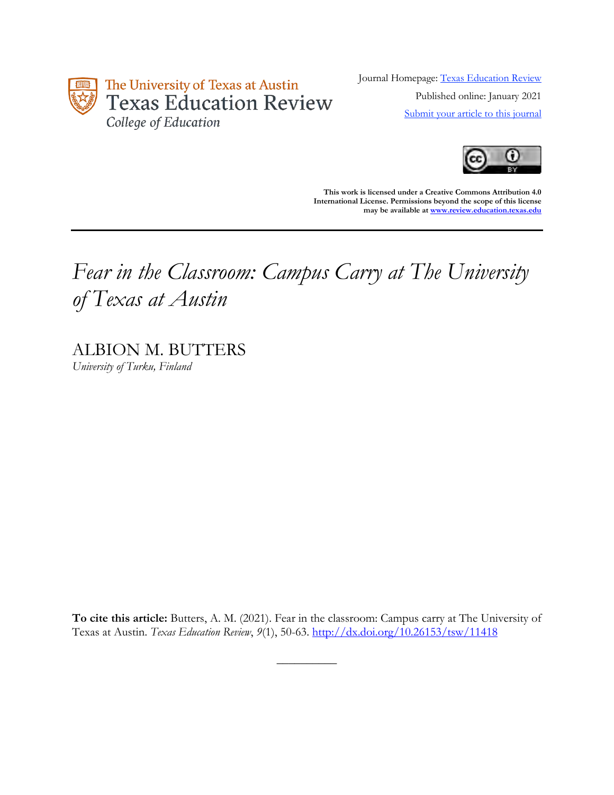

Journal Homepage: [Texas Education Review](https://review.education.utexas.edu/) Published online: January 2021 [Submit your article to this journal](https://review.education.utexas.edu/guidelines/)



**This work is licensed under a Creative Commons Attribution 4.0 International License. Permissions beyond the scope of this license may be available a[t www.review.education.texas.edu](http://www.review.education.texas.edu/)**

# *Fear in the Classroom: Campus Carry at The University of Texas at Austin*

ALBION M. BUTTERS *University of Turku, Finland*

**To cite this article:** Butters, A. M. (2021). Fear in the classroom: Campus carry at The University of Texas at Austin. *Texas Education Review*, *9*(1), 50-63. <http://dx.doi.org/10.26153/tsw/11418>

 $\overline{\phantom{a}}$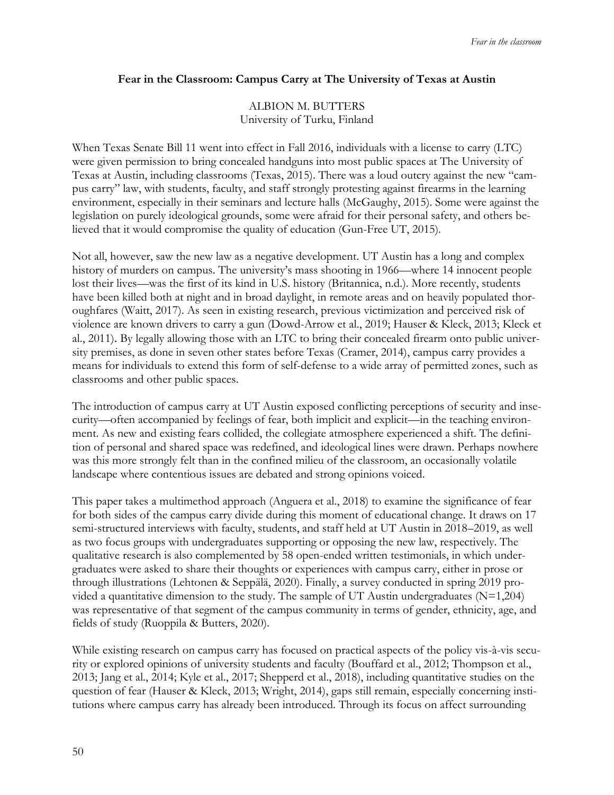## **Fear in the Classroom: Campus Carry at The University of Texas at Austin**

# ALBION M. BUTTERS University of Turku, Finland

When Texas Senate Bill 11 went into effect in Fall 2016, individuals with a license to carry (LTC) were given permission to bring concealed handguns into most public spaces at The University of Texas at Austin, including classrooms (Texas, 2015). There was a loud outcry against the new "campus carry" law, with students, faculty, and staff strongly protesting against firearms in the learning environment, especially in their seminars and lecture halls (McGaughy, 2015). Some were against the legislation on purely ideological grounds, some were afraid for their personal safety, and others believed that it would compromise the quality of education (Gun-Free UT, 2015).

Not all, however, saw the new law as a negative development. UT Austin has a long and complex history of murders on campus. The university's mass shooting in 1966—where 14 innocent people lost their lives—was the first of its kind in U.S. history (Britannica, n.d.). More recently, students have been killed both at night and in broad daylight, in remote areas and on heavily populated thoroughfares (Waitt, 2017). As seen in existing research, previous victimization and perceived risk of violence are known drivers to carry a gun (Dowd-Arrow et al., 2019; Hauser & Kleck, 2013; Kleck et al., 2011). By legally allowing those with an LTC to bring their concealed firearm onto public university premises, as done in seven other states before Texas (Cramer, 2014), campus carry provides a means for individuals to extend this form of self-defense to a wide array of permitted zones, such as classrooms and other public spaces.

The introduction of campus carry at UT Austin exposed conflicting perceptions of security and insecurity—often accompanied by feelings of fear, both implicit and explicit—in the teaching environment. As new and existing fears collided, the collegiate atmosphere experienced a shift. The definition of personal and shared space was redefined, and ideological lines were drawn. Perhaps nowhere was this more strongly felt than in the confined milieu of the classroom, an occasionally volatile landscape where contentious issues are debated and strong opinions voiced.

This paper takes a multimethod approach (Anguera et al., 2018) to examine the significance of fear for both sides of the campus carry divide during this moment of educational change. It draws on 17 semi-structured interviews with faculty, students, and staff held at UT Austin in 2018–2019, as well as two focus groups with undergraduates supporting or opposing the new law, respectively. The qualitative research is also complemented by 58 open-ended written testimonials, in which undergraduates were asked to share their thoughts or experiences with campus carry, either in prose or through illustrations (Lehtonen & Seppälä, 2020). Finally, a survey conducted in spring 2019 provided a quantitative dimension to the study. The sample of UT Austin undergraduates  $(N=1,204)$ was representative of that segment of the campus community in terms of gender, ethnicity, age, and fields of study (Ruoppila & Butters, 2020).

While existing research on campus carry has focused on practical aspects of the policy vis-à-vis security or explored opinions of university students and faculty (Bouffard et al., 2012; Thompson et al., 2013; Jang et al., 2014; Kyle et al., 2017; Shepperd et al., 2018), including quantitative studies on the question of fear (Hauser & Kleck, 2013; Wright, 2014), gaps still remain, especially concerning institutions where campus carry has already been introduced. Through its focus on affect surrounding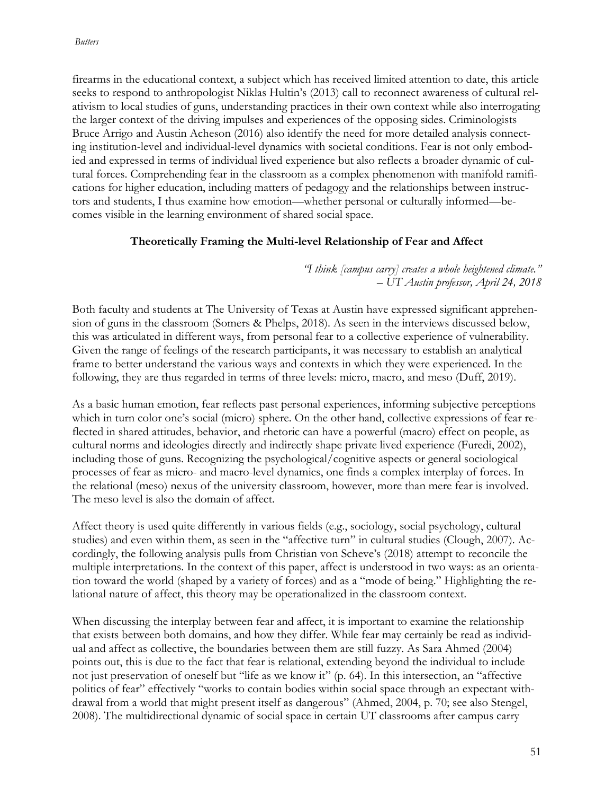firearms in the educational context, a subject which has received limited attention to date, this article seeks to respond to anthropologist Niklas Hultin's (2013) call to reconnect awareness of cultural relativism to local studies of guns, understanding practices in their own context while also interrogating the larger context of the driving impulses and experiences of the opposing sides. Criminologists Bruce Arrigo and Austin Acheson (2016) also identify the need for more detailed analysis connecting institution-level and individual-level dynamics with societal conditions. Fear is not only embodied and expressed in terms of individual lived experience but also reflects a broader dynamic of cultural forces. Comprehending fear in the classroom as a complex phenomenon with manifold ramifications for higher education, including matters of pedagogy and the relationships between instructors and students, I thus examine how emotion—whether personal or culturally informed—becomes visible in the learning environment of shared social space.

# **Theoretically Framing the Multi-level Relationship of Fear and Affect**

*"I think [campus carry] creates a whole heightened climate." – UT Austin professor, April 24, 2018*

Both faculty and students at The University of Texas at Austin have expressed significant apprehension of guns in the classroom (Somers & Phelps, 2018). As seen in the interviews discussed below, this was articulated in different ways, from personal fear to a collective experience of vulnerability. Given the range of feelings of the research participants, it was necessary to establish an analytical frame to better understand the various ways and contexts in which they were experienced. In the following, they are thus regarded in terms of three levels: micro, macro, and meso (Duff, 2019).

As a basic human emotion, fear reflects past personal experiences, informing subjective perceptions which in turn color one's social (micro) sphere. On the other hand, collective expressions of fear reflected in shared attitudes, behavior, and rhetoric can have a powerful (macro) effect on people, as cultural norms and ideologies directly and indirectly shape private lived experience (Furedi, 2002), including those of guns. Recognizing the psychological/cognitive aspects or general sociological processes of fear as micro- and macro-level dynamics, one finds a complex interplay of forces. In the relational (meso) nexus of the university classroom, however, more than mere fear is involved. The meso level is also the domain of affect.

Affect theory is used quite differently in various fields (e.g., sociology, social psychology, cultural studies) and even within them, as seen in the "affective turn" in cultural studies (Clough, 2007). Accordingly, the following analysis pulls from Christian von Scheve's (2018) attempt to reconcile the multiple interpretations. In the context of this paper, affect is understood in two ways: as an orientation toward the world (shaped by a variety of forces) and as a "mode of being." Highlighting the relational nature of affect, this theory may be operationalized in the classroom context.

When discussing the interplay between fear and affect, it is important to examine the relationship that exists between both domains, and how they differ. While fear may certainly be read as individual and affect as collective, the boundaries between them are still fuzzy. As Sara Ahmed (2004) points out, this is due to the fact that fear is relational, extending beyond the individual to include not just preservation of oneself but "life as we know it" (p. 64). In this intersection, an "affective politics of fear" effectively "works to contain bodies within social space through an expectant withdrawal from a world that might present itself as dangerous" (Ahmed, 2004, p. 70; see also Stengel, 2008). The multidirectional dynamic of social space in certain UT classrooms after campus carry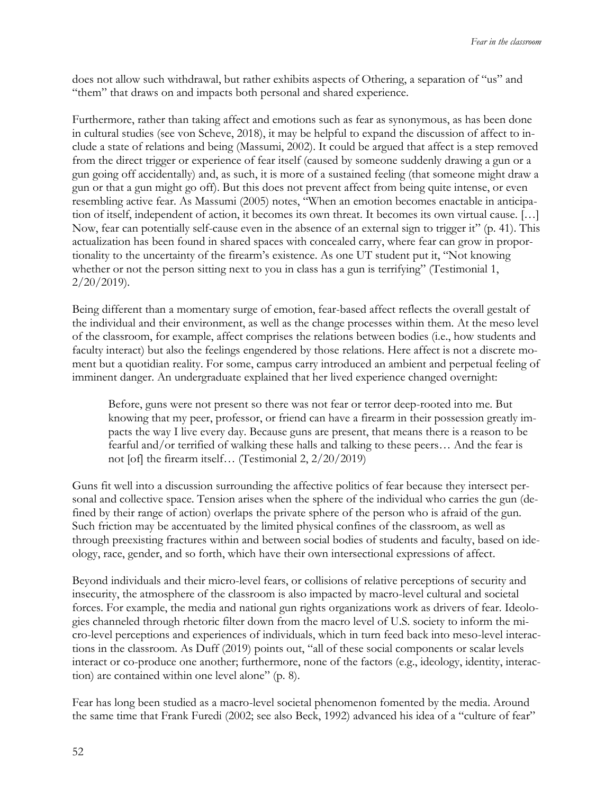does not allow such withdrawal, but rather exhibits aspects of Othering, a separation of "us" and "them" that draws on and impacts both personal and shared experience.

Furthermore, rather than taking affect and emotions such as fear as synonymous, as has been done in cultural studies (see von Scheve, 2018), it may be helpful to expand the discussion of affect to include a state of relations and being (Massumi, 2002). It could be argued that affect is a step removed from the direct trigger or experience of fear itself (caused by someone suddenly drawing a gun or a gun going off accidentally) and, as such, it is more of a sustained feeling (that someone might draw a gun or that a gun might go off). But this does not prevent affect from being quite intense, or even resembling active fear. As Massumi (2005) notes, "When an emotion becomes enactable in anticipation of itself, independent of action, it becomes its own threat. It becomes its own virtual cause. […] Now, fear can potentially self-cause even in the absence of an external sign to trigger it" (p. 41). This actualization has been found in shared spaces with concealed carry, where fear can grow in proportionality to the uncertainty of the firearm's existence. As one UT student put it, "Not knowing whether or not the person sitting next to you in class has a gun is terrifying" (Testimonial 1, 2/20/2019).

Being different than a momentary surge of emotion, fear-based affect reflects the overall gestalt of the individual and their environment, as well as the change processes within them. At the meso level of the classroom, for example, affect comprises the relations between bodies (i.e., how students and faculty interact) but also the feelings engendered by those relations. Here affect is not a discrete moment but a quotidian reality. For some, campus carry introduced an ambient and perpetual feeling of imminent danger. An undergraduate explained that her lived experience changed overnight:

Before, guns were not present so there was not fear or terror deep-rooted into me. But knowing that my peer, professor, or friend can have a firearm in their possession greatly impacts the way I live every day. Because guns are present, that means there is a reason to be fearful and/or terrified of walking these halls and talking to these peers… And the fear is not [of] the firearm itself… (Testimonial 2, 2/20/2019)

Guns fit well into a discussion surrounding the affective politics of fear because they intersect personal and collective space. Tension arises when the sphere of the individual who carries the gun (defined by their range of action) overlaps the private sphere of the person who is afraid of the gun. Such friction may be accentuated by the limited physical confines of the classroom, as well as through preexisting fractures within and between social bodies of students and faculty, based on ideology, race, gender, and so forth, which have their own intersectional expressions of affect.

Beyond individuals and their micro-level fears, or collisions of relative perceptions of security and insecurity, the atmosphere of the classroom is also impacted by macro-level cultural and societal forces. For example, the media and national gun rights organizations work as drivers of fear. Ideologies channeled through rhetoric filter down from the macro level of U.S. society to inform the micro-level perceptions and experiences of individuals, which in turn feed back into meso-level interactions in the classroom. As Duff (2019) points out, "all of these social components or scalar levels interact or co-produce one another; furthermore, none of the factors (e.g., ideology, identity, interaction) are contained within one level alone" (p. 8).

Fear has long been studied as a macro-level societal phenomenon fomented by the media. Around the same time that Frank Furedi (2002; see also Beck, 1992) advanced his idea of a "culture of fear"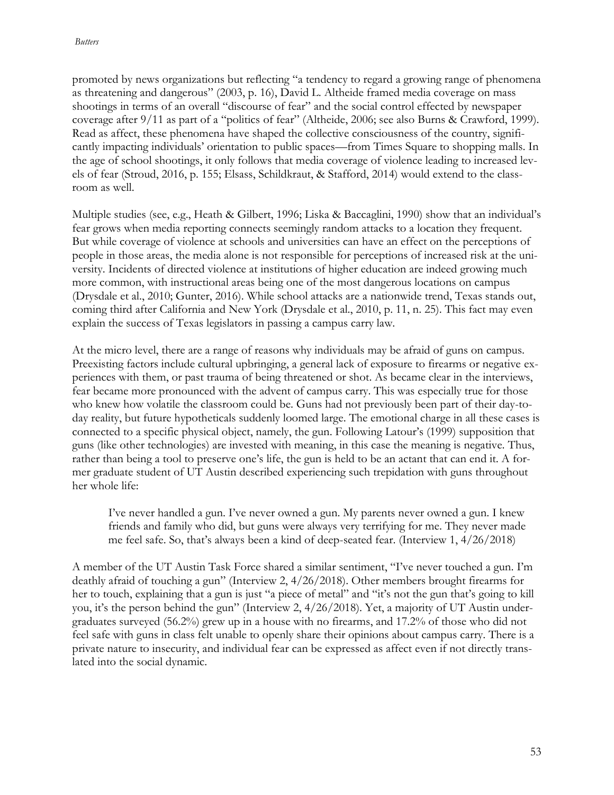promoted by news organizations but reflecting "a tendency to regard a growing range of phenomena as threatening and dangerous" (2003, p. 16), David L. Altheide framed media coverage on mass shootings in terms of an overall "discourse of fear" and the social control effected by newspaper coverage after 9/11 as part of a "politics of fear" (Altheide, 2006; see also Burns & Crawford, 1999). Read as affect, these phenomena have shaped the collective consciousness of the country, significantly impacting individuals' orientation to public spaces—from Times Square to shopping malls. In the age of school shootings, it only follows that media coverage of violence leading to increased levels of fear (Stroud, 2016, p. 155; Elsass, Schildkraut, & Stafford, 2014) would extend to the classroom as well.

Multiple studies (see, e.g., Heath & Gilbert, 1996; Liska & Baccaglini, 1990) show that an individual's fear grows when media reporting connects seemingly random attacks to a location they frequent. But while coverage of violence at schools and universities can have an effect on the perceptions of people in those areas, the media alone is not responsible for perceptions of increased risk at the university. Incidents of directed violence at institutions of higher education are indeed growing much more common, with instructional areas being one of the most dangerous locations on campus (Drysdale et al., 2010; Gunter, 2016). While school attacks are a nationwide trend, Texas stands out, coming third after California and New York (Drysdale et al., 2010, p. 11, n. 25). This fact may even explain the success of Texas legislators in passing a campus carry law.

At the micro level, there are a range of reasons why individuals may be afraid of guns on campus. Preexisting factors include cultural upbringing, a general lack of exposure to firearms or negative experiences with them, or past trauma of being threatened or shot. As became clear in the interviews, fear became more pronounced with the advent of campus carry. This was especially true for those who knew how volatile the classroom could be. Guns had not previously been part of their day-today reality, but future hypotheticals suddenly loomed large. The emotional charge in all these cases is connected to a specific physical object, namely, the gun. Following Latour's (1999) supposition that guns (like other technologies) are invested with meaning, in this case the meaning is negative. Thus, rather than being a tool to preserve one's life, the gun is held to be an actant that can end it. A former graduate student of UT Austin described experiencing such trepidation with guns throughout her whole life:

I've never handled a gun. I've never owned a gun. My parents never owned a gun. I knew friends and family who did, but guns were always very terrifying for me. They never made me feel safe. So, that's always been a kind of deep-seated fear. (Interview 1, 4/26/2018)

A member of the UT Austin Task Force shared a similar sentiment, "I've never touched a gun. I'm deathly afraid of touching a gun" (Interview 2, 4/26/2018). Other members brought firearms for her to touch, explaining that a gun is just "a piece of metal" and "it's not the gun that's going to kill you, it's the person behind the gun" (Interview 2, 4/26/2018). Yet, a majority of UT Austin undergraduates surveyed (56.2%) grew up in a house with no firearms, and 17.2% of those who did not feel safe with guns in class felt unable to openly share their opinions about campus carry. There is a private nature to insecurity, and individual fear can be expressed as affect even if not directly translated into the social dynamic.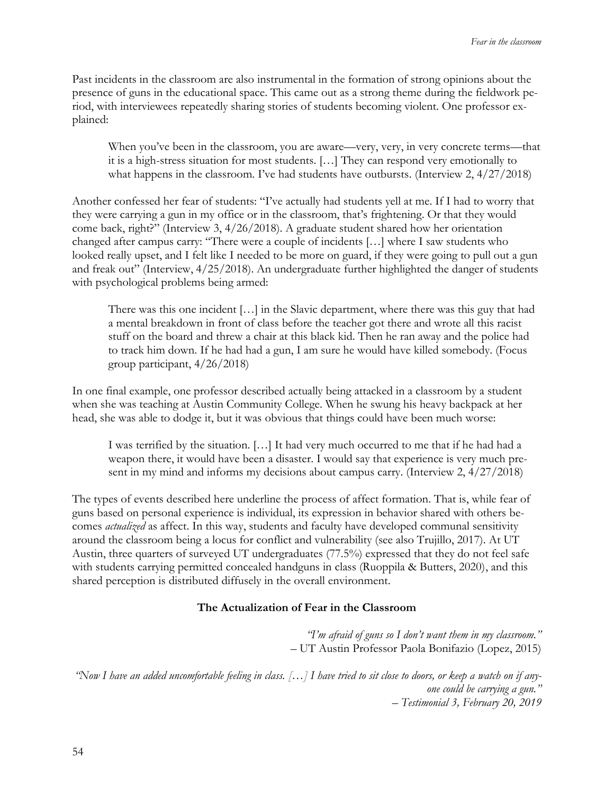Past incidents in the classroom are also instrumental in the formation of strong opinions about the presence of guns in the educational space. This came out as a strong theme during the fieldwork period, with interviewees repeatedly sharing stories of students becoming violent. One professor explained:

When you've been in the classroom, you are aware—very, very, in very concrete terms—that it is a high-stress situation for most students. […] They can respond very emotionally to what happens in the classroom. I've had students have outbursts. (Interview 2,  $4/27/2018$ )

Another confessed her fear of students: "I've actually had students yell at me. If I had to worry that they were carrying a gun in my office or in the classroom, that's frightening. Or that they would come back, right?" (Interview 3, 4/26/2018). A graduate student shared how her orientation changed after campus carry: "There were a couple of incidents […] where I saw students who looked really upset, and I felt like I needed to be more on guard, if they were going to pull out a gun and freak out" (Interview, 4/25/2018). An undergraduate further highlighted the danger of students with psychological problems being armed:

There was this one incident […] in the Slavic department, where there was this guy that had a mental breakdown in front of class before the teacher got there and wrote all this racist stuff on the board and threw a chair at this black kid. Then he ran away and the police had to track him down. If he had had a gun, I am sure he would have killed somebody. (Focus group participant, 4/26/2018)

In one final example, one professor described actually being attacked in a classroom by a student when she was teaching at Austin Community College. When he swung his heavy backpack at her head, she was able to dodge it, but it was obvious that things could have been much worse:

I was terrified by the situation. […] It had very much occurred to me that if he had had a weapon there, it would have been a disaster. I would say that experience is very much present in my mind and informs my decisions about campus carry. (Interview 2, 4/27/2018)

The types of events described here underline the process of affect formation. That is, while fear of guns based on personal experience is individual, its expression in behavior shared with others becomes *actualized* as affect. In this way, students and faculty have developed communal sensitivity around the classroom being a locus for conflict and vulnerability (see also Trujillo, 2017). At UT Austin, three quarters of surveyed UT undergraduates (77.5%) expressed that they do not feel safe with students carrying permitted concealed handguns in class (Ruoppila & Butters, 2020), and this shared perception is distributed diffusely in the overall environment.

# **The Actualization of Fear in the Classroom**

*"I'm afraid of guns so I don't want them in my classroom."*  – UT Austin Professor Paola Bonifazio (Lopez, 2015)

*"Now I have an added uncomfortable feeling in class.* [...] I have tried to sit close to doors, or keep a watch on if any*one could be carrying a gun." – Testimonial 3, February 20, 2019*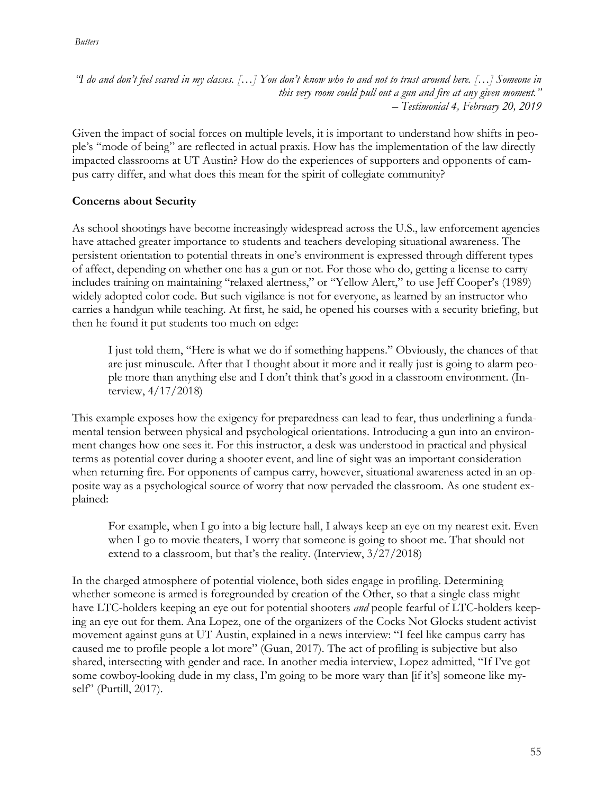#### *Butters*

*"I do and don't feel scared in my classes. […] You don't know who to and not to trust around here. […] Someone in this very room could pull out a gun and fire at any given moment." – Testimonial 4, February 20, 2019*

Given the impact of social forces on multiple levels, it is important to understand how shifts in people's "mode of being" are reflected in actual praxis. How has the implementation of the law directly impacted classrooms at UT Austin? How do the experiences of supporters and opponents of campus carry differ, and what does this mean for the spirit of collegiate community?

# **Concerns about Security**

As school shootings have become increasingly widespread across the U.S., law enforcement agencies have attached greater importance to students and teachers developing situational awareness. The persistent orientation to potential threats in one's environment is expressed through different types of affect, depending on whether one has a gun or not. For those who do, getting a license to carry includes training on maintaining "relaxed alertness," or "Yellow Alert," to use Jeff Cooper's (1989) widely adopted color code. But such vigilance is not for everyone, as learned by an instructor who carries a handgun while teaching. At first, he said, he opened his courses with a security briefing, but then he found it put students too much on edge:

I just told them, "Here is what we do if something happens." Obviously, the chances of that are just minuscule. After that I thought about it more and it really just is going to alarm people more than anything else and I don't think that's good in a classroom environment. (Interview, 4/17/2018)

This example exposes how the exigency for preparedness can lead to fear, thus underlining a fundamental tension between physical and psychological orientations. Introducing a gun into an environment changes how one sees it. For this instructor, a desk was understood in practical and physical terms as potential cover during a shooter event, and line of sight was an important consideration when returning fire. For opponents of campus carry, however, situational awareness acted in an opposite way as a psychological source of worry that now pervaded the classroom. As one student explained:

For example, when I go into a big lecture hall, I always keep an eye on my nearest exit. Even when I go to movie theaters, I worry that someone is going to shoot me. That should not extend to a classroom, but that's the reality. (Interview, 3/27/2018)

In the charged atmosphere of potential violence, both sides engage in profiling. Determining whether someone is armed is foregrounded by creation of the Other, so that a single class might have LTC-holders keeping an eye out for potential shooters *and* people fearful of LTC-holders keeping an eye out for them. Ana Lopez, one of the organizers of the Cocks Not Glocks student activist movement against guns at UT Austin, explained in a news interview: "I feel like campus carry has caused me to profile people a lot more" (Guan, 2017). The act of profiling is subjective but also shared, intersecting with gender and race. In another media interview, Lopez admitted, "If I've got some cowboy-looking dude in my class, I'm going to be more wary than [if it's] someone like myself" (Purtill, 2017).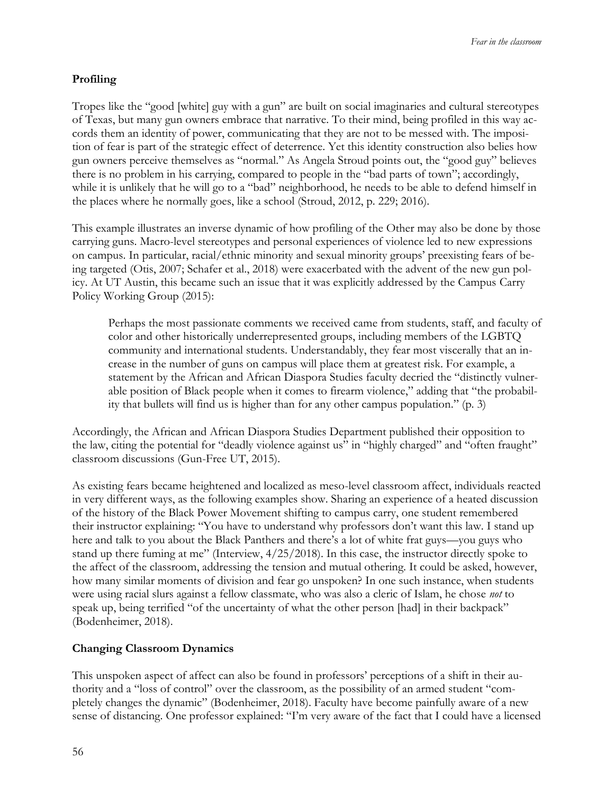# **Profiling**

Tropes like the "good [white] guy with a gun" are built on social imaginaries and cultural stereotypes of Texas, but many gun owners embrace that narrative. To their mind, being profiled in this way accords them an identity of power, communicating that they are not to be messed with. The imposition of fear is part of the strategic effect of deterrence. Yet this identity construction also belies how gun owners perceive themselves as "normal." As Angela Stroud points out, the "good guy" believes there is no problem in his carrying, compared to people in the "bad parts of town"; accordingly, while it is unlikely that he will go to a "bad" neighborhood, he needs to be able to defend himself in the places where he normally goes, like a school (Stroud, 2012, p. 229; 2016).

This example illustrates an inverse dynamic of how profiling of the Other may also be done by those carrying guns. Macro-level stereotypes and personal experiences of violence led to new expressions on campus. In particular, racial/ethnic minority and sexual minority groups' preexisting fears of being targeted (Otis, 2007; Schafer et al., 2018) were exacerbated with the advent of the new gun policy. At UT Austin, this became such an issue that it was explicitly addressed by the Campus Carry Policy Working Group (2015):

Perhaps the most passionate comments we received came from students, staff, and faculty of color and other historically underrepresented groups, including members of the LGBTQ community and international students. Understandably, they fear most viscerally that an increase in the number of guns on campus will place them at greatest risk. For example, a statement by the African and African Diaspora Studies faculty decried the "distinctly vulnerable position of Black people when it comes to firearm violence," adding that "the probability that bullets will find us is higher than for any other campus population." (p. 3)

Accordingly, the African and African Diaspora Studies Department published their opposition to the law, citing the potential for "deadly violence against us" in "highly charged" and "often fraught" classroom discussions (Gun-Free UT, 2015).

As existing fears became heightened and localized as meso-level classroom affect, individuals reacted in very different ways, as the following examples show. Sharing an experience of a heated discussion of the history of the Black Power Movement shifting to campus carry, one student remembered their instructor explaining: "You have to understand why professors don't want this law. I stand up here and talk to you about the Black Panthers and there's a lot of white frat guys—you guys who stand up there fuming at me" (Interview, 4/25/2018). In this case, the instructor directly spoke to the affect of the classroom, addressing the tension and mutual othering. It could be asked, however, how many similar moments of division and fear go unspoken? In one such instance, when students were using racial slurs against a fellow classmate, who was also a cleric of Islam, he chose *not* to speak up, being terrified "of the uncertainty of what the other person [had] in their backpack" (Bodenheimer, 2018).

# **Changing Classroom Dynamics**

This unspoken aspect of affect can also be found in professors' perceptions of a shift in their authority and a "loss of control" over the classroom, as the possibility of an armed student "completely changes the dynamic" (Bodenheimer, 2018). Faculty have become painfully aware of a new sense of distancing. One professor explained: "I'm very aware of the fact that I could have a licensed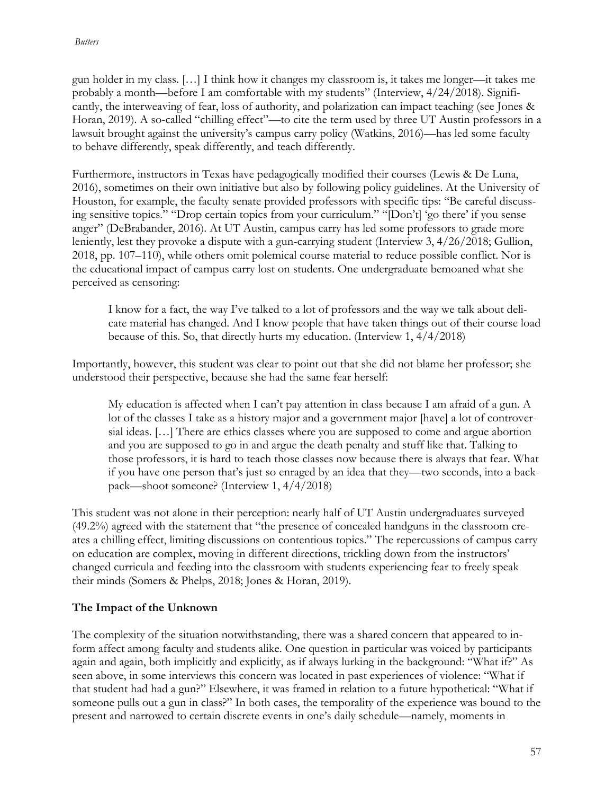gun holder in my class. […] I think how it changes my classroom is, it takes me longer—it takes me probably a month—before I am comfortable with my students" (Interview, 4/24/2018). Significantly, the interweaving of fear, loss of authority, and polarization can impact teaching (see Jones & Horan, 2019). A so-called "chilling effect"—to cite the term used by three UT Austin professors in a lawsuit brought against the university's campus carry policy (Watkins, 2016)—has led some faculty to behave differently, speak differently, and teach differently.

Furthermore, instructors in Texas have pedagogically modified their courses (Lewis & De Luna, 2016), sometimes on their own initiative but also by following policy guidelines. At the University of Houston, for example, the faculty senate provided professors with specific tips: "Be careful discussing sensitive topics." "Drop certain topics from your curriculum." "[Don't] 'go there' if you sense anger" (DeBrabander, 2016). At UT Austin, campus carry has led some professors to grade more leniently, lest they provoke a dispute with a gun-carrying student (Interview 3, 4/26/2018; Gullion, 2018, pp. 107–110), while others omit polemical course material to reduce possible conflict. Nor is the educational impact of campus carry lost on students. One undergraduate bemoaned what she perceived as censoring:

I know for a fact, the way I've talked to a lot of professors and the way we talk about delicate material has changed. And I know people that have taken things out of their course load because of this. So, that directly hurts my education. (Interview 1, 4/4/2018)

Importantly, however, this student was clear to point out that she did not blame her professor; she understood their perspective, because she had the same fear herself:

My education is affected when I can't pay attention in class because I am afraid of a gun. A lot of the classes I take as a history major and a government major [have] a lot of controversial ideas. […] There are ethics classes where you are supposed to come and argue abortion and you are supposed to go in and argue the death penalty and stuff like that. Talking to those professors, it is hard to teach those classes now because there is always that fear. What if you have one person that's just so enraged by an idea that they—two seconds, into a backpack—shoot someone? (Interview 1, 4/4/2018)

This student was not alone in their perception: nearly half of UT Austin undergraduates surveyed (49.2%) agreed with the statement that "the presence of concealed handguns in the classroom creates a chilling effect, limiting discussions on contentious topics." The repercussions of campus carry on education are complex, moving in different directions, trickling down from the instructors' changed curricula and feeding into the classroom with students experiencing fear to freely speak their minds (Somers & Phelps, 2018; Jones & Horan, 2019).

# **The Impact of the Unknown**

The complexity of the situation notwithstanding, there was a shared concern that appeared to inform affect among faculty and students alike. One question in particular was voiced by participants again and again, both implicitly and explicitly, as if always lurking in the background: "What if?" As seen above, in some interviews this concern was located in past experiences of violence: "What if that student had had a gun?" Elsewhere, it was framed in relation to a future hypothetical: "What if someone pulls out a gun in class?" In both cases, the temporality of the experience was bound to the present and narrowed to certain discrete events in one's daily schedule—namely, moments in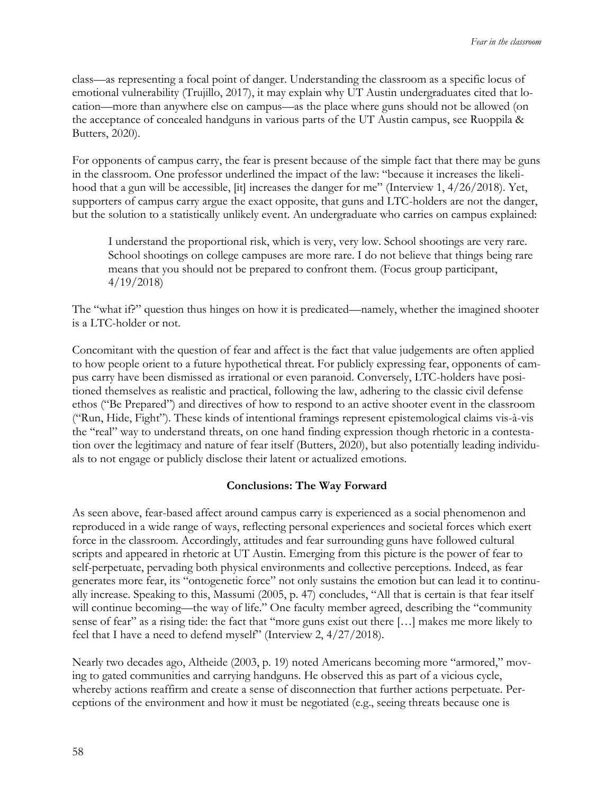class—as representing a focal point of danger. Understanding the classroom as a specific locus of emotional vulnerability (Trujillo, 2017), it may explain why UT Austin undergraduates cited that location—more than anywhere else on campus—as the place where guns should not be allowed (on the acceptance of concealed handguns in various parts of the UT Austin campus, see Ruoppila & Butters, 2020).

For opponents of campus carry, the fear is present because of the simple fact that there may be guns in the classroom. One professor underlined the impact of the law: "because it increases the likelihood that a gun will be accessible, [it] increases the danger for me" (Interview 1, 4/26/2018). Yet, supporters of campus carry argue the exact opposite, that guns and LTC-holders are not the danger, but the solution to a statistically unlikely event. An undergraduate who carries on campus explained:

I understand the proportional risk, which is very, very low. School shootings are very rare. School shootings on college campuses are more rare. I do not believe that things being rare means that you should not be prepared to confront them. (Focus group participant, 4/19/2018)

The "what if?" question thus hinges on how it is predicated—namely, whether the imagined shooter is a LTC-holder or not.

Concomitant with the question of fear and affect is the fact that value judgements are often applied to how people orient to a future hypothetical threat. For publicly expressing fear, opponents of campus carry have been dismissed as irrational or even paranoid. Conversely, LTC-holders have positioned themselves as realistic and practical, following the law, adhering to the classic civil defense ethos ("Be Prepared") and directives of how to respond to an active shooter event in the classroom ("Run, Hide, Fight"). These kinds of intentional framings represent epistemological claims vis-à-vis the "real" way to understand threats, on one hand finding expression though rhetoric in a contestation over the legitimacy and nature of fear itself (Butters, 2020), but also potentially leading individuals to not engage or publicly disclose their latent or actualized emotions.

### **Conclusions: The Way Forward**

As seen above, fear-based affect around campus carry is experienced as a social phenomenon and reproduced in a wide range of ways, reflecting personal experiences and societal forces which exert force in the classroom. Accordingly, attitudes and fear surrounding guns have followed cultural scripts and appeared in rhetoric at UT Austin. Emerging from this picture is the power of fear to self-perpetuate, pervading both physical environments and collective perceptions. Indeed, as fear generates more fear, its "ontogenetic force" not only sustains the emotion but can lead it to continually increase. Speaking to this, Massumi (2005, p. 47) concludes, "All that is certain is that fear itself will continue becoming—the way of life." One faculty member agreed, describing the "community" sense of fear" as a rising tide: the fact that "more guns exist out there […] makes me more likely to feel that I have a need to defend myself" (Interview 2, 4/27/2018).

Nearly two decades ago, Altheide (2003, p. 19) noted Americans becoming more "armored," moving to gated communities and carrying handguns. He observed this as part of a vicious cycle, whereby actions reaffirm and create a sense of disconnection that further actions perpetuate. Perceptions of the environment and how it must be negotiated (e.g., seeing threats because one is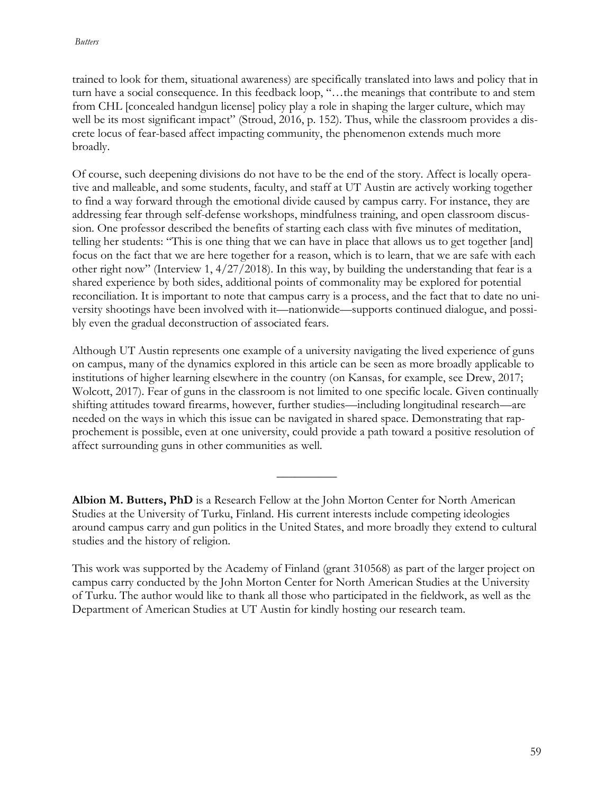trained to look for them, situational awareness) are specifically translated into laws and policy that in turn have a social consequence. In this feedback loop, "…the meanings that contribute to and stem from CHL [concealed handgun license] policy play a role in shaping the larger culture, which may well be its most significant impact" (Stroud, 2016, p. 152). Thus, while the classroom provides a discrete locus of fear-based affect impacting community, the phenomenon extends much more broadly.

Of course, such deepening divisions do not have to be the end of the story. Affect is locally operative and malleable, and some students, faculty, and staff at UT Austin are actively working together to find a way forward through the emotional divide caused by campus carry. For instance, they are addressing fear through self-defense workshops, mindfulness training, and open classroom discussion. One professor described the benefits of starting each class with five minutes of meditation, telling her students: "This is one thing that we can have in place that allows us to get together [and] focus on the fact that we are here together for a reason, which is to learn, that we are safe with each other right now" (Interview 1, 4/27/2018). In this way, by building the understanding that fear is a shared experience by both sides, additional points of commonality may be explored for potential reconciliation. It is important to note that campus carry is a process, and the fact that to date no university shootings have been involved with it—nationwide—supports continued dialogue, and possibly even the gradual deconstruction of associated fears.

Although UT Austin represents one example of a university navigating the lived experience of guns on campus, many of the dynamics explored in this article can be seen as more broadly applicable to institutions of higher learning elsewhere in the country (on Kansas, for example, see Drew, 2017; Wolcott, 2017). Fear of guns in the classroom is not limited to one specific locale. Given continually shifting attitudes toward firearms, however, further studies—including longitudinal research—are needed on the ways in which this issue can be navigated in shared space. Demonstrating that rapprochement is possible, even at one university, could provide a path toward a positive resolution of affect surrounding guns in other communities as well.

**Albion M. Butters, PhD** is a Research Fellow at the John Morton Center for North American Studies at the University of Turku, Finland. His current interests include competing ideologies around campus carry and gun politics in the United States, and more broadly they extend to cultural studies and the history of religion.

 $\overline{\phantom{a}}$ 

This work was supported by the Academy of Finland (grant 310568) as part of the larger project on campus carry conducted by the John Morton Center for North American Studies at the University of Turku. The author would like to thank all those who participated in the fieldwork, as well as the Department of American Studies at UT Austin for kindly hosting our research team.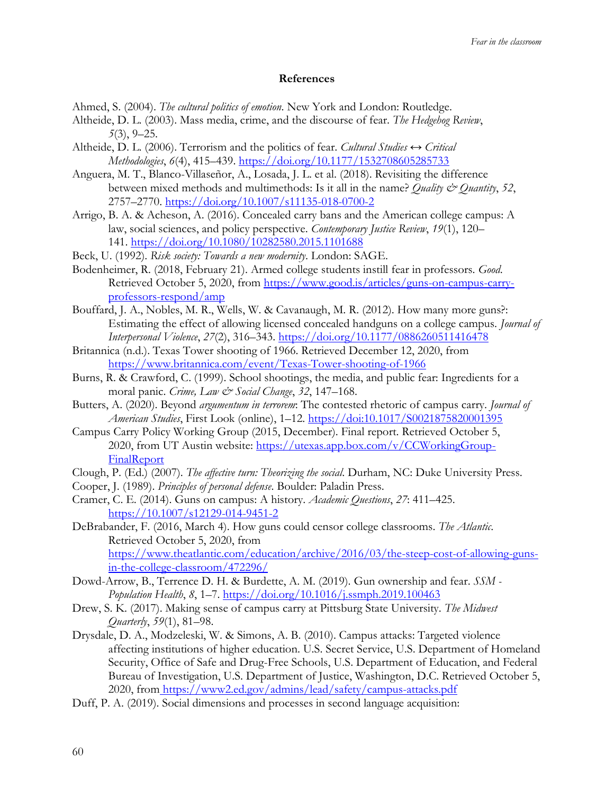#### **References**

- Ahmed, S. (2004). *The cultural politics of emotion*. New York and London: Routledge.
- Altheide, D. L. (2003). Mass media, crime, and the discourse of fear. *The Hedgehog Review*, *5*(3), 9–25.
- Altheide, D. L. (2006). Terrorism and the politics of fear. *Cultural Studies ↔ Critical Methodologies*, *6*(4), 415–439.<https://doi.org/10.1177/1532708605285733>
- Anguera, M. T., Blanco-Villaseñor, A., Losada, J. L. et al. (2018). Revisiting the difference between mixed methods and multimethods: Is it all in the name? *Quality & Quantity*, *52*, 2757–2770.<https://doi.org/10.1007/s11135-018-0700-2>
- Arrigo, B. A. & Acheson, A. (2016). Concealed carry bans and the American college campus: A law, social sciences, and policy perspective. *Contemporary Justice Review*, *19*(1), 120– 141.<https://doi.org/10.1080/10282580.2015.1101688>
- Beck, U. (1992). *Risk society: Towards a new modernity*. London: SAGE.
- Bodenheimer, R. (2018, February 21). Armed college students instill fear in professors. *Good*. Retrieved October 5, 2020, from [https://www.good.is/articles/guns-on-campus-carry](https://www.good.is/articles/guns-on-campus-carry-professors-respond/amp)[professors-respond/amp](https://www.good.is/articles/guns-on-campus-carry-professors-respond/amp)
- Bouffard, J. A., Nobles, M. R., Wells, W. & Cavanaugh, M. R. (2012). How many more guns?: Estimating the effect of allowing licensed concealed handguns on a college campus. *Journal of Interpersonal Violence*, *27*(2), 316–343.<https://doi.org/10.1177/0886260511416478>
- Britannica (n.d.). Texas Tower shooting of 1966. Retrieved December 12, 2020, from <https://www.britannica.com/event/Texas-Tower-shooting-of-1966>
- Burns, R. & Crawford, C. (1999). School shootings, the media, and public fear: Ingredients for a moral panic. *Crime, Law & Social Change*, *32*, 147–168.
- Butters, A. (2020). Beyond *argumentum in terrorem*: The contested rhetoric of campus carry. *Journal of American Studies*, First Look (online), 1–12. https://doi:10.1017/S0021875820001395
- Campus Carry Policy Working Group (2015, December). Final report. Retrieved October 5, 2020, from UT Austin website: [https://utexas.app.box.com/v/CCWorkingGroup-](https://utexas.app.box.com/v/CCWorkingGroup-FinalReport)[FinalReport](https://utexas.app.box.com/v/CCWorkingGroup-FinalReport)
- Clough, P. (Ed.) (2007). *The affective turn: Theorizing the social*. Durham, NC: Duke University Press.
- Cooper, J. (1989). *Principles of personal defense*. Boulder: Paladin Press.
- Cramer, C. E. (2014). Guns on campus: A history. *Academic Questions*, *27*: 411–425. [https://10.1007/s12129-014-9451-2](https://10.0.3.239/s12129-014-9451-2)
- DeBrabander, F. (2016, March 4). How guns could censor college classrooms. *The Atlantic*. Retrieved October 5, 2020, from [https://www.theatlantic.com/education/archive/2016/03/the-steep-cost-of-allowing-guns](https://www.theatlantic.com/education/archive/2016/03/the-steep-cost-of-allowing-guns-in-the-college-classroom/472296/)[in-the-college-classroom/472296/](https://www.theatlantic.com/education/archive/2016/03/the-steep-cost-of-allowing-guns-in-the-college-classroom/472296/)
- Dowd-Arrow, B., Terrence D. H. & Burdette, A. M. (2019). Gun ownership and fear. *SSM - Population Health*, *8*, 1–7.<https://doi.org/10.1016/j.ssmph.2019.100463>
- Drew, S. K. (2017). Making sense of campus carry at Pittsburg State University. *The Midwest Quarterly*, *59*(1), 81–98.
- Drysdale, D. A., Modzeleski, W. & Simons, A. B. (2010). Campus attacks: Targeted violence affecting institutions of higher education. U.S. Secret Service, U.S. Department of Homeland Security, Office of Safe and Drug-Free Schools, U.S. Department of Education, and Federal Bureau of Investigation, U.S. Department of Justice, Washington, D.C. Retrieved October 5, 2020, from <https://www2.ed.gov/admins/lead/safety/campus-attacks.pdf>
- Duff, P. A. (2019). Social dimensions and processes in second language acquisition: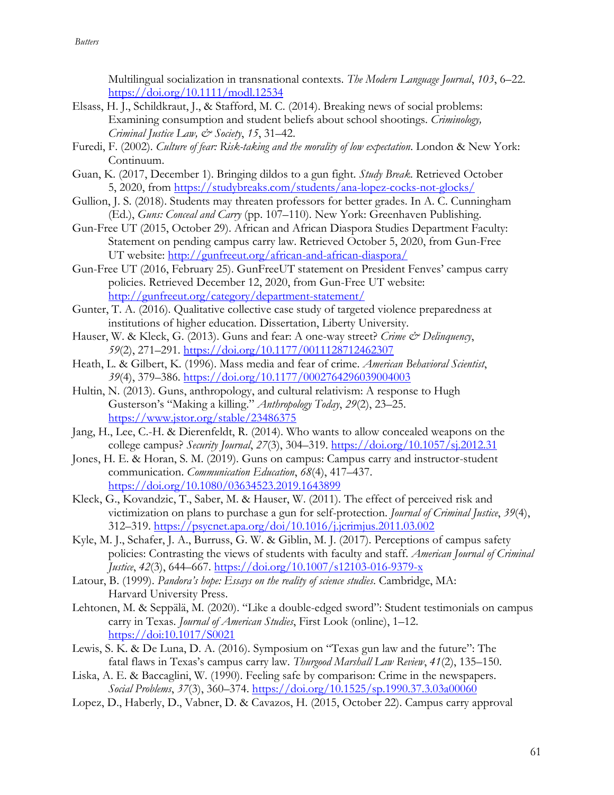Multilingual socialization in transnational contexts. *The Modern Language Journal*, *103*, 6–22. <https://doi.org/10.1111/modl.12534>

- Elsass, H. J., Schildkraut, J., & Stafford, M. C. (2014). Breaking news of social problems: Examining consumption and student beliefs about school shootings. *Criminology, Criminal Justice Law, & Society*, *15*, 31–42.
- Furedi, F. (2002). *Culture of fear: Risk-taking and the morality of low expectation*. London & New York: Continuum.
- Guan, K. (2017, December 1). Bringing dildos to a gun fight. *Study Break*. Retrieved October 5, 2020, from<https://studybreaks.com/students/ana-lopez-cocks-not-glocks/>
- Gullion, J. S. (2018). Students may threaten professors for better grades. In A. C. Cunningham (Ed.), *Guns: Conceal and Carry* (pp. 107–110). New York: Greenhaven Publishing.
- Gun-Free UT (2015, October 29). African and African Diaspora Studies Department Faculty: Statement on pending campus carry law. Retrieved October 5, 2020, from Gun-Free UT website:<http://gunfreeut.org/african-and-african-diaspora/>
- Gun-Free UT (2016, February 25). GunFreeUT statement on President Fenves' campus carry policies. Retrieved December 12, 2020, from Gun-Free UT website: <http://gunfreeut.org/category/department-statement/>
- Gunter, T. A. (2016). Qualitative collective case study of targeted violence preparedness at institutions of higher education. Dissertation, Liberty University.
- Hauser, W. & Kleck, G. (2013). Guns and fear: A one-way street? *Crime & Delinquency*, *59*(2), 271–291.<https://doi.org/10.1177/0011128712462307>
- Heath, L. & Gilbert, K. (1996). Mass media and fear of crime. *American Behavioral Scientist*, *39*(4), 379–386.<https://doi.org/10.1177/0002764296039004003>
- Hultin, N. (2013). Guns, anthropology, and cultural relativism: A response to Hugh Gusterson's "Making a killing." *Anthropology Today*, *29*(2), 23–25. <https://www.jstor.org/stable/23486375>
- Jang, H., Lee, C.-H. & Dierenfeldt, R. (2014). Who wants to allow concealed weapons on the college campus? *Security Journal*, *27*(3), 304–319.<https://doi.org/10.1057/sj.2012.31>
- Jones, H. E. & Horan, S. M. (2019). Guns on campus: Campus carry and instructor-student communication. *Communication Education*, *68*(4), 417–437. <https://doi.org/10.1080/03634523.2019.1643899>
- Kleck, G., Kovandzic, T., Saber, M. & Hauser, W. (2011). The effect of perceived risk and victimization on plans to purchase a gun for self-protection. *Journal of Criminal Justice*, *39*(4), 312–319.<https://psycnet.apa.org/doi/10.1016/j.jcrimjus.2011.03.002>
- Kyle, M. J., Schafer, J. A., Burruss, G. W. & Giblin, M. J. (2017). Perceptions of campus safety policies: Contrasting the views of students with faculty and staff. *American Journal of Criminal Justice*, *42*(3), 644–667.<https://doi.org/10.1007/s12103-016-9379-x>
- Latour, B. (1999). *Pandora's hope: Essays on the reality of science studies*. Cambridge, MA: Harvard University Press.
- Lehtonen, M. & Seppälä, M. (2020). "Like a double-edged sword": Student testimonials on campus carry in Texas. *Journal of American Studies*, First Look (online), 1–12. https://doi:10.1017/S0021
- Lewis, S. K. & De Luna, D. A. (2016). Symposium on "Texas gun law and the future": The fatal flaws in Texas's campus carry law. *Thurgood Marshall Law Review*, *41*(2), 135–150.
- Liska, A. E. & Baccaglini, W. (1990). Feeling safe by comparison: Crime in the newspapers. *Social Problems*, *37*(3), 360–374.<https://doi.org/10.1525/sp.1990.37.3.03a00060>
- Lopez, D., Haberly, D., Vabner, D. & Cavazos, H. (2015, October 22). Campus carry approval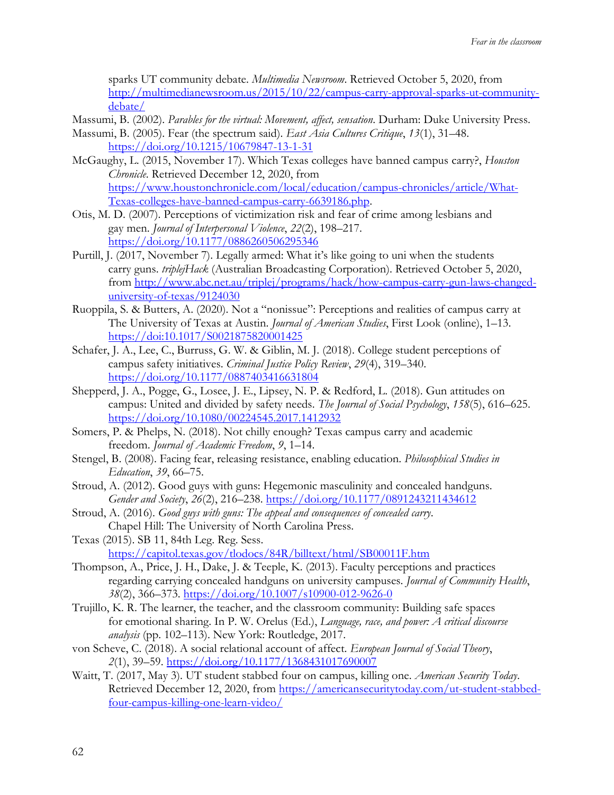sparks UT community debate. *Multimedia Newsroom*. Retrieved October 5, 2020, from [http://multimedianewsroom.us/2015/10/22/campus-carry-approval-sparks-ut-community](http://multimedianewsroom.us/2015/10/22/campus-carry-approval-sparks-ut-community-debate/)[debate/](http://multimedianewsroom.us/2015/10/22/campus-carry-approval-sparks-ut-community-debate/)

- Massumi, B. (2002). *Parables for the virtual: Movement, affect, sensation*. Durham: Duke University Press.
- Massumi, B. (2005). Fear (the spectrum said). *East Asia Cultures Critique*, *13*(1), 31–48. <https://doi.org/10.1215/10679847-13-1-31>
- McGaughy, L. (2015, November 17). Which Texas colleges have banned campus carry?, *Houston Chronicle*. Retrieved December 12, 2020, from [https://www.houstonchronicle.com/local/education/campus-chronicles/article/What-](https://www.houstonchronicle.com/local/education/campus-chronicles/article/What-Texas-colleges-have-banned-campus-carry-6639186.php)[Texas-colleges-have-banned-campus-carry-6639186.php.](https://www.houstonchronicle.com/local/education/campus-chronicles/article/What-Texas-colleges-have-banned-campus-carry-6639186.php)
- Otis, M. D. (2007). Perceptions of victimization risk and fear of crime among lesbians and gay men. *Journal of Interpersonal Violence*, *22*(2), 198–217. <https://doi.org/10.1177/0886260506295346>
- Purtill, J. (2017, November 7). Legally armed: What it's like going to uni when the students carry guns. *triplejHack* (Australian Broadcasting Corporation). Retrieved October 5, 2020, from [http://www.abc.net.au/triplej/programs/hack/how-campus-carry-gun-laws-changed](http://www.abc.net.au/triplej/programs/hack/how-campus-carry-gun-laws-changed-university-of-texas/9124030)[university-of-texas/9124030](http://www.abc.net.au/triplej/programs/hack/how-campus-carry-gun-laws-changed-university-of-texas/9124030)
- Ruoppila, S. & Butters, A. (2020). Not a "nonissue": Perceptions and realities of campus carry at The University of Texas at Austin. *Journal of American Studies*, First Look (online), 1–13. https://doi:10.1017/S0021875820001425
- Schafer, J. A., Lee, C., Burruss, G. W. & Giblin, M. J. (2018). College student perceptions of campus safety initiatives. *Criminal Justice Policy Review*, *29*(4), 319–340. <https://doi.org/10.1177/0887403416631804>
- Shepperd, J. A., Pogge, G., Losee, J. E., Lipsey, N. P. & Redford, L. (2018). Gun attitudes on campus: United and divided by safety needs. *The Journal of Social Psychology*, *158*(5), 616–625. <https://doi.org/10.1080/00224545.2017.1412932>
- Somers, P. & Phelps, N. (2018). Not chilly enough? Texas campus carry and academic freedom. *Journal of Academic Freedom*, *9*, 1–14.
- Stengel, B. (2008). Facing fear, releasing resistance, enabling education. *Philosophical Studies in Education*, *39*, 66–75.
- Stroud, A. (2012). Good guys with guns: Hegemonic masculinity and concealed handguns. *Gender and Society*, *26*(2), 216–238.<https://doi.org/10.1177/0891243211434612>
- Stroud, A. (2016). *Good guys with guns: The appeal and consequences of concealed carry*. Chapel Hill: The University of North Carolina Press.
- Texas (2015). SB 11, 84th Leg. Reg. Sess. <https://capitol.texas.gov/tlodocs/84R/billtext/html/SB00011F.htm>
- Thompson, A., Price, J. H., Dake, J. & Teeple, K. (2013). Faculty perceptions and practices regarding carrying concealed handguns on university campuses. *Journal of Community Health*, *38*(2), 366–373.<https://doi.org/10.1007/s10900-012-9626-0>
- Trujillo, K. R. The learner, the teacher, and the classroom community: Building safe spaces for emotional sharing. In P. W. Orelus (Ed.), *Language, race, and power: A critical discourse analysis* (pp. 102–113). New York: Routledge, 2017.
- von Scheve, C. (2018). A social relational account of affect. *European Journal of Social Theory*, *2*(1), 39–59.<https://doi.org/10.1177/1368431017690007>
- Waitt, T. (2017, May 3). UT student stabbed four on campus, killing one. *American Security Today*. Retrieved December 12, 2020, from [https://americansecuritytoday.com/ut-student-stabbed](https://americansecuritytoday.com/ut-student-stabbed-four-campus-killing-one-learn-video/)[four-campus-killing-one-learn-video/](https://americansecuritytoday.com/ut-student-stabbed-four-campus-killing-one-learn-video/)